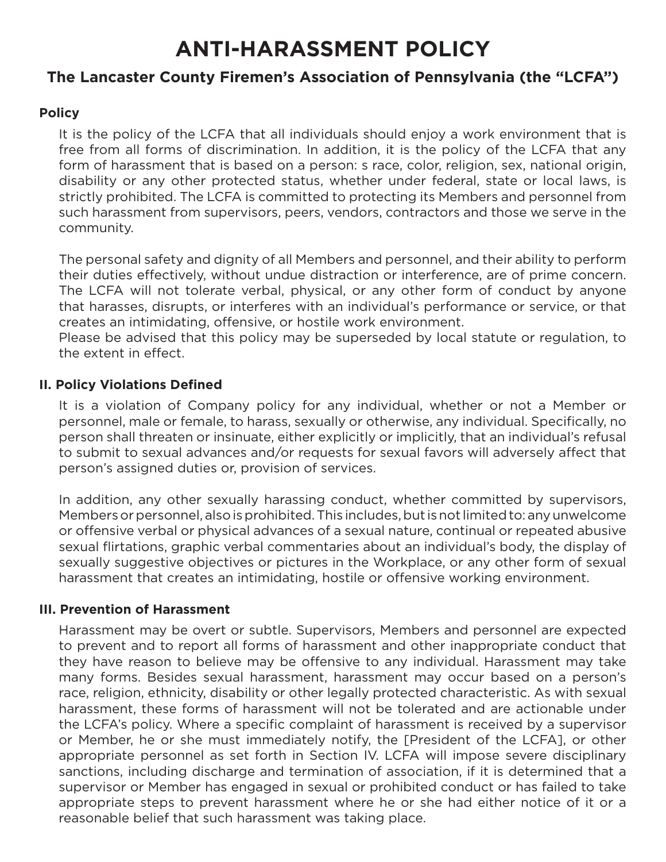# **ANTI-HARASSMENT POLICY**

# **The Lancaster County Firemen's Association of Pennsylvania (the "LCFA")**

## **Policy**

It is the policy of the LCFA that all individuals should enjoy a work environment that is free from all forms of discrimination. In addition, it is the policy of the LCFA that any form of harassment that is based on a person: s race, color, religion, sex, national origin, disability or any other protected status, whether under federal, state or local laws, is strictly prohibited. The LCFA is committed to protecting its Members and personnel from such harassment from supervisors, peers, vendors, contractors and those we serve in the community.

The personal safety and dignity of all Members and personnel, and their ability to perform their duties effectively, without undue distraction or interference, are of prime concern. The LCFA will not tolerate verbal, physical, or any other form of conduct by anyone that harasses, disrupts, or interferes with an individual's performance or service, or that creates an intimidating, offensive, or hostile work environment.

Please be advised that this policy may be superseded by local statute or regulation, to the extent in effect.

#### **II. Policy Violations Defined**

It is a violation of Company policy for any individual, whether or not a Member or personnel, male or female, to harass, sexually or otherwise, any individual. Specifically, no person shall threaten or insinuate, either explicitly or implicitly, that an individual's refusal to submit to sexual advances and/or requests for sexual favors will adversely affect that person's assigned duties or, provision of services.

In addition, any other sexually harassing conduct, whether committed by supervisors, Members or personnel, also is prohibited. This includes, but is not limited to: any unwelcome or offensive verbal or physical advances of a sexual nature, continual or repeated abusive sexual flirtations, graphic verbal commentaries about an individual's body, the display of sexually suggestive objectives or pictures in the Workplace, or any other form of sexual harassment that creates an intimidating, hostile or offensive working environment.

## **III. Prevention of Harassment**

Harassment may be overt or subtle. Supervisors, Members and personnel are expected to prevent and to report all forms of harassment and other inappropriate conduct that they have reason to believe may be offensive to any individual. Harassment may take many forms. Besides sexual harassment, harassment may occur based on a person's race, religion, ethnicity, disability or other legally protected characteristic. As with sexual harassment, these forms of harassment will not be tolerated and are actionable under the LCFA's policy. Where a specific complaint of harassment is received by a supervisor or Member, he or she must immediately notify, the [President of the LCFA], or other appropriate personnel as set forth in Section IV. LCFA will impose severe disciplinary sanctions, including discharge and termination of association, if it is determined that a supervisor or Member has engaged in sexual or prohibited conduct or has failed to take appropriate steps to prevent harassment where he or she had either notice of it or a reasonable belief that such harassment was taking place.